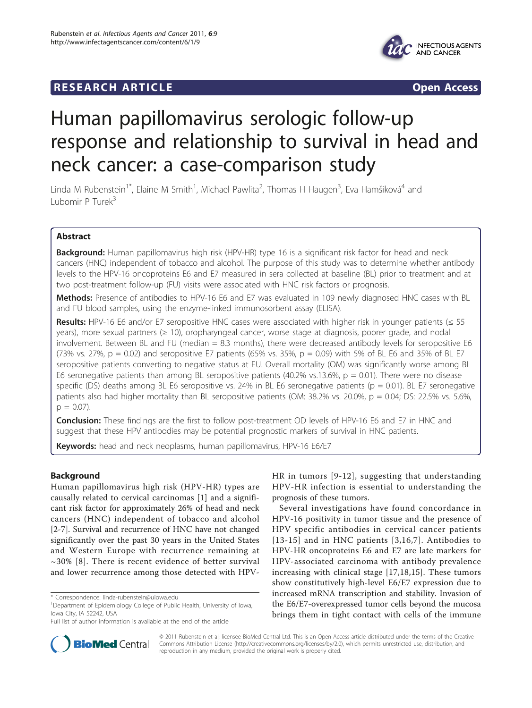# **RESEARCH ARTICLE Example 2018 CONSIDERING ACCESS**



# Human papillomavirus serologic follow-up response and relationship to survival in head and neck cancer: a case-comparison study

Linda M Rubenstein<sup>1\*</sup>, Elaine M Smith<sup>1</sup>, Michael Pawlita<sup>2</sup>, Thomas H Haugen<sup>3</sup>, Eva Hamšiková<sup>4</sup> and Lubomir P Turek<sup>3</sup>

# Abstract

**Background:** Human papillomavirus high risk (HPV-HR) type 16 is a significant risk factor for head and neck cancers (HNC) independent of tobacco and alcohol. The purpose of this study was to determine whether antibody levels to the HPV-16 oncoproteins E6 and E7 measured in sera collected at baseline (BL) prior to treatment and at two post-treatment follow-up (FU) visits were associated with HNC risk factors or prognosis.

Methods: Presence of antibodies to HPV-16 E6 and E7 was evaluated in 109 newly diagnosed HNC cases with BL and FU blood samples, using the enzyme-linked immunosorbent assay (ELISA).

Results: HPV-16 E6 and/or E7 seropositive HNC cases were associated with higher risk in younger patients (≤ 55 years), more sexual partners (≥ 10), oropharyngeal cancer, worse stage at diagnosis, poorer grade, and nodal involvement. Between BL and FU (median  $= 8.3$  months), there were decreased antibody levels for seropositive E6 (73% vs. 27%,  $p = 0.02$ ) and seropositive E7 patients (65% vs. 35%,  $p = 0.09$ ) with 5% of BL E6 and 35% of BL E7 seropositive patients converting to negative status at FU. Overall mortality (OM) was significantly worse among BL E6 seronegative patients than among BL seropositive patients (40.2% vs.13.6%,  $p = 0.01$ ). There were no disease specific (DS) deaths among BL E6 seropositive vs. 24% in BL E6 seronegative patients (p = 0.01). BL E7 seronegative patients also had higher mortality than BL seropositive patients (OM: 38.2% vs. 20.0%, p = 0.04; DS: 22.5% vs. 5.6%,  $p = 0.07$ ).

**Conclusion:** These findings are the first to follow post-treatment OD levels of HPV-16 E6 and E7 in HNC and suggest that these HPV antibodies may be potential prognostic markers of survival in HNC patients.

Keywords: head and neck neoplasms, human papillomavirus, HPV-16 E6/E7

## Background

Human papillomavirus high risk (HPV-HR) types are causally related to cervical carcinomas [\[1\]](#page-7-0) and a significant risk factor for approximately 26% of head and neck cancers (HNC) independent of tobacco and alcohol [[2-7](#page-7-0)]. Survival and recurrence of HNC have not changed significantly over the past 30 years in the United States and Western Europe with recurrence remaining at  $\sim$ 30% [[8](#page-7-0)]. There is recent evidence of better survival and lower recurrence among those detected with HPV-



Several investigations have found concordance in HPV-16 positivity in tumor tissue and the presence of HPV specific antibodies in cervical cancer patients [[13-15](#page-7-0)] and in HNC patients [[3](#page-7-0),[16](#page-8-0),[7](#page-7-0)]. Antibodies to HPV-HR oncoproteins E6 and E7 are late markers for HPV-associated carcinoma with antibody prevalence increasing with clinical stage [\[17](#page-8-0),[18](#page-8-0)[,15](#page-7-0)]. These tumors show constitutively high-level E6/E7 expression due to increased mRNA transcription and stability. Invasion of the E6/E7-overexpressed tumor cells beyond the mucosa brings them in tight contact with cells of the immune



© 2011 Rubenstein et al; licensee BioMed Central Ltd. This is an Open Access article distributed under the terms of the Creative Commons Attribution License [\(http://creativecommons.org/licenses/by/2.0](http://creativecommons.org/licenses/by/2.0)), which permits unrestricted use, distribution, and reproduction in any medium, provided the original work is properly cited.

<sup>\*</sup> Correspondence: [linda-rubenstein@uiowa.edu](mailto:linda-rubenstein@uiowa.edu)

<sup>&</sup>lt;sup>1</sup>Department of Epidemiology College of Public Health, University of Iowa, Iowa City, IA 52242, USA

Full list of author information is available at the end of the article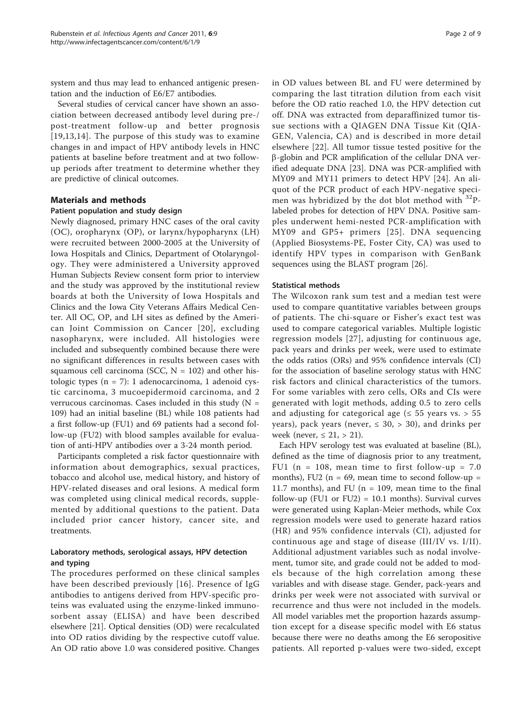system and thus may lead to enhanced antigenic presentation and the induction of E6/E7 antibodies.

Several studies of cervical cancer have shown an association between decreased antibody level during pre-/ post-treatment follow-up and better prognosis [[19,](#page-8-0)[13](#page-7-0),[14](#page-7-0)]. The purpose of this study was to examine changes in and impact of HPV antibody levels in HNC patients at baseline before treatment and at two followup periods after treatment to determine whether they are predictive of clinical outcomes.

#### Materials and methods

#### Patient population and study design

Newly diagnosed, primary HNC cases of the oral cavity (OC), oropharynx (OP), or larynx/hypopharynx (LH) were recruited between 2000-2005 at the University of Iowa Hospitals and Clinics, Department of Otolaryngology. They were administered a University approved Human Subjects Review consent form prior to interview and the study was approved by the institutional review boards at both the University of Iowa Hospitals and Clinics and the Iowa City Veterans Affairs Medical Center. All OC, OP, and LH sites as defined by the American Joint Commission on Cancer [[20\]](#page-8-0), excluding nasopharynx, were included. All histologies were included and subsequently combined because there were no significant differences in results between cases with squamous cell carcinoma (SCC,  $N = 102$ ) and other histologic types  $(n = 7)$ : 1 adenocarcinoma, 1 adenoid cystic carcinoma, 3 mucoepidermoid carcinoma, and 2 verrucous carcinomas. Cases included in this study  $(N =$ 109) had an initial baseline (BL) while 108 patients had a first follow-up (FU1) and 69 patients had a second follow-up (FU2) with blood samples available for evaluation of anti-HPV antibodies over a 3-24 month period.

Participants completed a risk factor questionnaire with information about demographics, sexual practices, tobacco and alcohol use, medical history, and history of HPV-related diseases and oral lesions. A medical form was completed using clinical medical records, supplemented by additional questions to the patient. Data included prior cancer history, cancer site, and treatments.

### Laboratory methods, serological assays, HPV detection and typing

The procedures performed on these clinical samples have been described previously [[16](#page-8-0)]. Presence of IgG antibodies to antigens derived from HPV-specific proteins was evaluated using the enzyme-linked immunosorbent assay (ELISA) and have been described elsewhere [\[21](#page-8-0)]. Optical densities (OD) were recalculated into OD ratios dividing by the respective cutoff value. An OD ratio above 1.0 was considered positive. Changes in OD values between BL and FU were determined by comparing the last titration dilution from each visit before the OD ratio reached 1.0, the HPV detection cut off. DNA was extracted from deparaffinized tumor tissue sections with a QIAGEN DNA Tissue Kit (QIA-GEN, Valencia, CA) and is described in more detail elsewhere [[22\]](#page-8-0). All tumor tissue tested positive for the b-globin and PCR amplification of the cellular DNA verified adequate DNA [[23](#page-8-0)]. DNA was PCR-amplified with MY09 and MY11 primers to detect HPV [[24](#page-8-0)]. An aliquot of the PCR product of each HPV-negative specimen was hybridized by the dot blot method with  $32P$ labeled probes for detection of HPV DNA. Positive samples underwent hemi-nested PCR-amplification with MY09 and GP5+ primers [[25](#page-8-0)]. DNA sequencing (Applied Biosystems-PE, Foster City, CA) was used to identify HPV types in comparison with GenBank sequences using the BLAST program [[26\]](#page-8-0).

#### Statistical methods

The Wilcoxon rank sum test and a median test were used to compare quantitative variables between groups of patients. The chi-square or Fisher's exact test was used to compare categorical variables. Multiple logistic regression models [[27](#page-8-0)], adjusting for continuous age, pack years and drinks per week, were used to estimate the odds ratios (ORs) and 95% confidence intervals (CI) for the association of baseline serology status with HNC risk factors and clinical characteristics of the tumors. For some variables with zero cells, ORs and CIs were generated with logit methods, adding 0.5 to zero cells and adjusting for categorical age ( $\leq$  55 years vs. > 55 years), pack years (never,  $\leq$  30,  $>$  30), and drinks per week (never,  $\leq$  21,  $>$  21).

Each HPV serology test was evaluated at baseline (BL), defined as the time of diagnosis prior to any treatment, FU1 ( $n = 108$ , mean time to first follow-up = 7.0 months), FU2 ( $n = 69$ , mean time to second follow-up = 11.7 months), and FU ( $n = 109$ , mean time to the final follow-up (FU1 or FU2) =  $10.1$  months). Survival curves were generated using Kaplan-Meier methods, while Cox regression models were used to generate hazard ratios (HR) and 95% confidence intervals (CI), adjusted for continuous age and stage of disease (III/IV vs. I/II). Additional adjustment variables such as nodal involvement, tumor site, and grade could not be added to models because of the high correlation among these variables and with disease stage. Gender, pack-years and drinks per week were not associated with survival or recurrence and thus were not included in the models. All model variables met the proportion hazards assumption except for a disease specific model with E6 status because there were no deaths among the E6 seropositive patients. All reported p-values were two-sided, except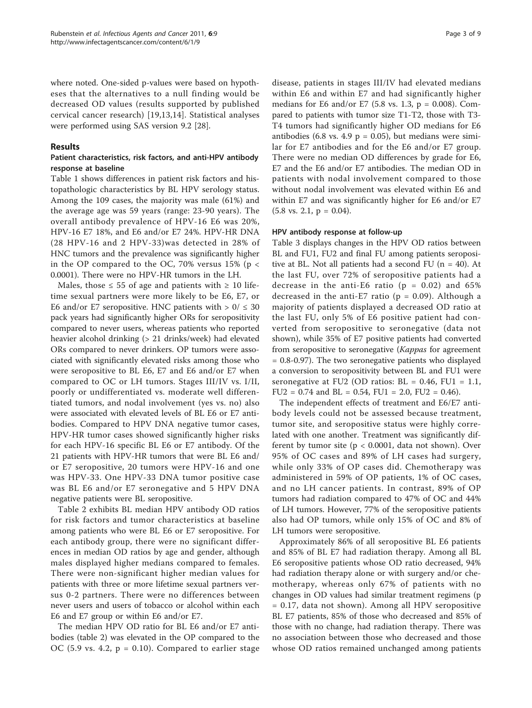where noted. One-sided p-values were based on hypotheses that the alternatives to a null finding would be decreased OD values (results supported by published cervical cancer research) [\[19](#page-8-0),[13,14](#page-7-0)]. Statistical analyses were performed using SAS version 9.2 [[28\]](#page-8-0).

#### Results

#### Patient characteristics, risk factors, and anti-HPV antibody response at baseline

Table [1](#page-3-0) shows differences in patient risk factors and histopathologic characteristics by BL HPV serology status. Among the 109 cases, the majority was male (61%) and the average age was 59 years (range: 23-90 years). The overall antibody prevalence of HPV-16 E6 was 20%, HPV-16 E7 18%, and E6 and/or E7 24%. HPV-HR DNA (28 HPV-16 and 2 HPV-33)was detected in 28% of HNC tumors and the prevalence was significantly higher in the OP compared to the OC, 70% versus  $15\%$  (p < 0.0001). There were no HPV-HR tumors in the LH.

Males, those  $\leq 55$  of age and patients with  $\geq 10$  lifetime sexual partners were more likely to be E6, E7, or E6 and/or E7 seropositive. HNC patients with  $> 0 / \leq 30$ pack years had significantly higher ORs for seropositivity compared to never users, whereas patients who reported heavier alcohol drinking (> 21 drinks/week) had elevated ORs compared to never drinkers. OP tumors were associated with significantly elevated risks among those who were seropositive to BL E6, E7 and E6 and/or E7 when compared to OC or LH tumors. Stages III/IV vs. I/II, poorly or undifferentiated vs. moderate well differentiated tumors, and nodal involvement (yes vs. no) also were associated with elevated levels of BL E6 or E7 antibodies. Compared to HPV DNA negative tumor cases, HPV-HR tumor cases showed significantly higher risks for each HPV-16 specific BL E6 or E7 antibody. Of the 21 patients with HPV-HR tumors that were BL E6 and/ or E7 seropositive, 20 tumors were HPV-16 and one was HPV-33. One HPV-33 DNA tumor positive case was BL E6 and/or E7 seronegative and 5 HPV DNA negative patients were BL seropositive.

Table [2](#page-4-0) exhibits BL median HPV antibody OD ratios for risk factors and tumor characteristics at baseline among patients who were BL E6 or E7 seropositive. For each antibody group, there were no significant differences in median OD ratios by age and gender, although males displayed higher medians compared to females. There were non-significant higher median values for patients with three or more lifetime sexual partners versus 0-2 partners. There were no differences between never users and users of tobacco or alcohol within each E6 and E7 group or within E6 and/or E7.

The median HPV OD ratio for BL E6 and/or E7 antibodies (table [2](#page-4-0)) was elevated in the OP compared to the OC (5.9 vs. 4.2,  $p = 0.10$ ). Compared to earlier stage disease, patients in stages III/IV had elevated medians within E6 and within E7 and had significantly higher medians for E6 and/or E7 (5.8 vs. 1.3,  $p = 0.008$ ). Compared to patients with tumor size T1-T2, those with T3- T4 tumors had significantly higher OD medians for E6 antibodies (6.8 vs. 4.9  $p = 0.05$ ), but medians were similar for E7 antibodies and for the E6 and/or E7 group. There were no median OD differences by grade for E6, E7 and the E6 and/or E7 antibodies. The median OD in patients with nodal involvement compared to those without nodal involvement was elevated within E6 and within E7 and was significantly higher for E6 and/or E7  $(5.8 \text{ vs. } 2.1, \text{ p} = 0.04).$ 

#### HPV antibody response at follow-up

Table [3](#page-5-0) displays changes in the HPV OD ratios between BL and FU1, FU2 and final FU among patients seropositive at BL. Not all patients had a second FU ( $n = 40$ ). At the last FU, over 72% of seropositive patients had a decrease in the anti-E6 ratio ( $p = 0.02$ ) and 65% decreased in the anti-E7 ratio ( $p = 0.09$ ). Although a majority of patients displayed a decreased OD ratio at the last FU, only 5% of E6 positive patient had converted from seropositive to seronegative (data not shown), while 35% of E7 positive patients had converted from seropositive to seronegative (Kappas for agreement = 0.8-0.97). The two seronegative patients who displayed a conversion to seropositivity between BL and FU1 were seronegative at FU2 (OD ratios:  $BL = 0.46$ , FU1 = 1.1,  $FU2 = 0.74$  and  $BL = 0.54$ ,  $FU1 = 2.0$ ,  $FU2 = 0.46$ ).

The independent effects of treatment and E6/E7 antibody levels could not be assessed because treatment, tumor site, and seropositive status were highly correlated with one another. Treatment was significantly different by tumor site  $(p < 0.0001$ , data not shown). Over 95% of OC cases and 89% of LH cases had surgery, while only 33% of OP cases did. Chemotherapy was administered in 59% of OP patients, 1% of OC cases, and no LH cancer patients. In contrast, 89% of OP tumors had radiation compared to 47% of OC and 44% of LH tumors. However, 77% of the seropositive patients also had OP tumors, while only 15% of OC and 8% of LH tumors were seropositive.

Approximately 86% of all seropositive BL E6 patients and 85% of BL E7 had radiation therapy. Among all BL E6 seropositive patients whose OD ratio decreased, 94% had radiation therapy alone or with surgery and/or chemotherapy, whereas only 67% of patients with no changes in OD values had similar treatment regimens (p = 0.17, data not shown). Among all HPV seropositive BL E7 patients, 85% of those who decreased and 85% of those with no change, had radiation therapy. There was no association between those who decreased and those whose OD ratios remained unchanged among patients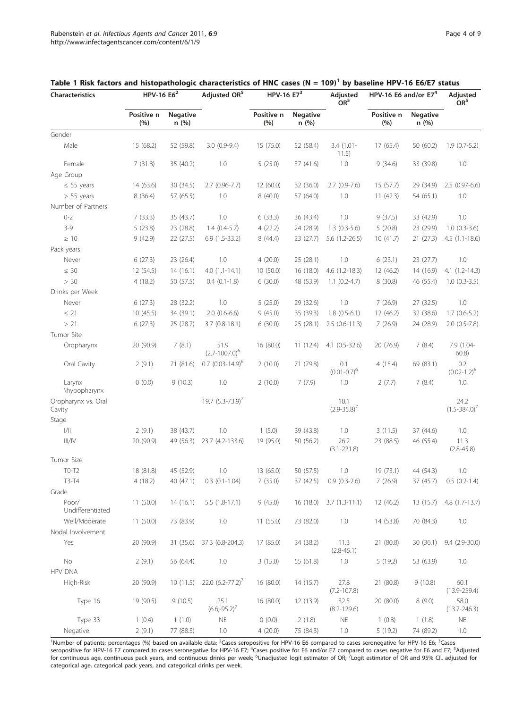| <b>Characteristics</b>        | HPV-16 E6 <sup>2</sup> |                         | Adjusted OR <sup>5</sup>   | HPV-16 $E73$      |                          | Adjusted<br>OR <sup>5</sup> | HPV-16 E6 and/or $E74$ |                          | Adjusted<br>OR <sup>5</sup> |
|-------------------------------|------------------------|-------------------------|----------------------------|-------------------|--------------------------|-----------------------------|------------------------|--------------------------|-----------------------------|
|                               | Positive n<br>(%)      | <b>Negative</b><br>n(%) |                            | Positive n<br>(%) | <b>Negative</b><br>n (%) |                             | Positive n<br>(%)      | <b>Negative</b><br>n (%) |                             |
| Gender                        |                        |                         |                            |                   |                          |                             |                        |                          |                             |
| Male                          | 15 (68.2)              | 52 (59.8)               | $3.0(0.9-9.4)$             | 15 (75.0)         | 52 (58.4)                | $3.4(1.01 -$<br>11.5)       | 17(65.4)               | 50 (60.2)                | $1.9(0.7-5.2)$              |
| Female                        | 7(31.8)                | 35 (40.2)               | 1.0                        | 5(25.0)           | 37 (41.6)                | 1.0                         | 9(34.6)                | 33 (39.8)                | 1.0                         |
| Age Group                     |                        |                         |                            |                   |                          |                             |                        |                          |                             |
| $\leq$ 55 years               | 14 (63.6)              | 30 (34.5)               | $2.7(0.96 - 7.7)$          | 12 (60.0)         | 32 (36.0)                | $2.7(0.9-7.6)$              | 15(57.7)               | 29 (34.9)                | 2.5 (0.97-6.6)              |
| $> 55$ years                  | 8(36.4)                | 57 (65.5)               | 1.0                        | 8(40.0)           | 57 (64.0)                | 1.0                         | 11(42.3)               | 54 (65.1)                | 1.0                         |
| Number of Partners            |                        |                         |                            |                   |                          |                             |                        |                          |                             |
| $0 - 2$                       | 7(33.3)                | 35 (43.7)               | 1.0                        | 6(33.3)           | 36 (43.4)                | 1.0                         | 9(37.5)                | 33 (42.9)                | 1.0                         |
| $3-9$                         | 5(23.8)                | 23 (28.8)               | $1.4(0.4-5.7)$             | 4(22.2)           | 24 (28.9)                | $1.3(0.3-5.6)$              | 5(20.8)                | 23 (29.9)                | $1.0 (0.3 - 3.6)$           |
| $\geq 10$                     | 9(42.9)                | 22 (27.5)               | $6.9(1.5-33.2)$            | 8(44.4)           | 23 (27.7)                | $5.6(1.2-26.5)$             | 10(41.7)               | 21 (27.3)                | $4.5(1.1-18.6)$             |
| Pack years                    |                        |                         |                            |                   |                          |                             |                        |                          |                             |
| Never                         | 6(27.3)                | 23 (26.4)               | 1.0                        | 4(20.0)           | 25 (28.1)                | 1.0                         | 6(23.1)                | 23 (27.7)                | 1.0                         |
| $\leq 30$                     | 12 (54.5)              | 14(16.1)                | $4.0(1.1-14.1)$            | 10(50.0)          | 16 (18.0)                | $4.6(1.2-18.3)$             | 12 (46.2)              | 14 (16.9)                | $4.1(1.2-14.3)$             |
| > 30                          | 4(18.2)                | 50 (57.5)               | $0.4(0.1-1.8)$             | 6(30.0)           | 48 (53.9)                | $1.1(0.2-4.7)$              | 8(30.8)                | 46 (55.4)                | $1.0(0.3-3.5)$              |
| Drinks per Week               |                        |                         |                            |                   |                          |                             |                        |                          |                             |
| Never                         | 6(27.3)                | 28 (32.2)               | 1.0                        | 5(25.0)           | 29 (32.6)                | 1.0                         | 7(26.9)                | 27 (32.5)                | 1.0                         |
| $\leq$ 21                     | 10(45.5)               | 34 (39.1)               | $2.0(0.6-6.6)$             | 9(45.0)           | 35 (39.3)                | $1.8(0.5-6.1)$              | 12 (46.2)              | 32 (38.6)                | $1.7(0.6-5.2)$              |
| > 21                          | 6(27.3)                | 25 (28.7)               | $3.7(0.8-18.1)$            | 6(30.0)           | 25 (28.1)                | $2.5(0.6-11.3)$             | 7(26.9)                | 24 (28.9)                | $2.0$ (0.5-7.8)             |
| Tumor Site                    |                        |                         |                            |                   |                          |                             |                        |                          |                             |
| Oropharynx                    | 20 (90.9)              | 7(8.1)                  | 51.9<br>$(2.7 - 1007.0)^6$ | 16(80.0)          | 11(12.4)                 | $4.1 (0.5 - 32.6)$          | 20 (76.9)              | 7(8.4)                   | 7.9 (1.04-<br>60.8)         |
| Oral Cavity                   | 2(9.1)                 | 71 (81.6)               | $0.7$ $(0.03-14.9)^6$      | 2(10.0)           | 71 (79.8)                | 0.1<br>$(0.01 - 0.7)^6$     | 4(15.4)                | 69 (83.1)                | 0.2<br>$(0.02 - 1.2)^6$     |
| Larynx<br>\hypopharynx        | 0(0.0)                 | 9(10.3)                 | 1.0                        | 2(10.0)           | 7(7.9)                   | 1.0                         | 2(7.7)                 | 7(8.4)                   | 1.0                         |
| Oropharynx vs. Oral<br>Cavity |                        |                         | 19.7 $(5.3 - 73.9)^7$      |                   |                          | 10.1<br>$(2.9 - 35.8)^7$    |                        |                          | 24.2<br>$(1.5 - 384.0)^7$   |
| Stage                         |                        |                         |                            |                   |                          |                             |                        |                          |                             |
| $\vert/\vert\vert$            | 2(9.1)                 | 38 (43.7)               | 1.0                        | 1(5.0)            | 39 (43.8)                | 1.0                         | 3(11.5)                | 37 (44.6)                | 1.0                         |
| III/IV                        | 20 (90.9)              | 49 (56.3)               | 23.7 (4.2-133.6)           | 19 (95.0)         | 50 (56.2)                | 26.2<br>$(3.1 - 221.8)$     | 23 (88.5)              | 46 (55.4)                | 11.3<br>$(2.8 - 45.8)$      |
| Tumor Size                    |                        |                         |                            |                   |                          |                             |                        |                          |                             |
| $TO-T2$                       | 18 (81.8)              | 45 (52.9)               | 1.0                        | 13 (65.0)         | 50 (57.5)                | 1.0                         | 19 (73.1)              | 44 (54.3)                | 1.0                         |
| T3-T4                         | 4(18.2)                | 40 (47.1)               | $0.3$ $(0.1 - 1.04)$       | 7(35.0)           | 37 (42.5)                | $0.9(0.3-2.6)$              | 7(26.9)                | 37 (45.7)                | $0.5$ $(0.2-1.4)$           |
| Grade                         |                        |                         |                            |                   |                          |                             |                        |                          |                             |
| Poor/<br>Undifferentiated     | 11(50.0)               | 14(16.1)                | $5.5(1.8-17.1)$            | 9(45.0)           | 16(18.0)                 | $3.7(1.3-11.1)$             | 12 (46.2)              | 13 (15.7)                | $4.8$ $(1.7-13.7)$          |
| Well/Moderate                 | 11 (50.0)              | 73 (83.9)               | 1.0                        | 11(55.0)          | 73 (82.0)                | $1.0\,$                     | 14 (53.8)              | 70 (84.3)                | 1.0                         |
| Nodal Involvement             |                        |                         |                            |                   |                          |                             |                        |                          |                             |
| Yes                           | 20 (90.9)              | 31 (35.6)               | 37.3 (6.8-204.3)           | 17 (85.0)         | 34 (38.2)                | 11.3<br>$(2.8 - 45.1)$      | 21 (80.8)              | 30(36.1)                 | $9.4(2.9-30.0)$             |
| No                            | 2(9.1)                 | 56 (64.4)               | 1.0                        | 3(15.0)           | 55 (61.8)                | 1.0                         | 5(19.2)                | 53 (63.9)                | 1.0                         |
| <b>HPV DNA</b>                |                        |                         |                            |                   |                          |                             |                        |                          |                             |
| High-Risk                     | 20 (90.9)              | 10(11.5)                | 22.0 $(6.2 - 77.2)^7$      | 16 (80.0)         | 14(15.7)                 | 27.8<br>$(7.2 - 107.8)$     | 21 (80.8)              | 9(10.8)                  | 60.1<br>$(13.9 - 259.4)$    |
| Type 16                       | 19 (90.5)              | 9(10.5)                 | 25.1<br>$(6.6,-95.2)$      | 16(80.0)          | 12 (13.9)                | 32.5<br>$(8.2 - 129.6)$     | 20 (80.0)              | 8(9.0)                   | 58.0<br>$(13.7 - 246.3)$    |
| Type 33                       | 1(0.4)                 | 1(1.0)                  | $\mathsf{NE}\xspace$       | 0(0.0)            | 2(1.8)                   | <b>NE</b>                   | 1(0.8)                 | 1(1.8)                   | <b>NE</b>                   |
| Negative                      | 2(9.1)                 | 77 (88.5)               | 1.0                        | 4(20.0)           | 75 (84.3)                | 1.0                         | 5(19.2)                | 74 (89.2)                | 1.0                         |

#### <span id="page-3-0"></span>Table 1 Risk factors and histopathologic characteristics of HNC cases (N = 109)<sup>1</sup> by baseline HPV-16 E6/E7 status

<sup>1</sup>Number of patients; percentages (%) based on available data; <sup>2</sup>Cases seropositive for HPV-16 E6 compared to cases seronegative for HPV-16 E6; <sup>3</sup>Cases<br>seropositive for HPV-16 E7 compared to cases seronegative for HPV-1 for continuous age, continuous pack years, and continuous drinks per week; <sup>6</sup>Unadjusted logit estimator of OR; <sup>7</sup>Logit estimator of OR and 95% Cl., adjusted for categorical age, categorical pack years, and categorical drinks per week.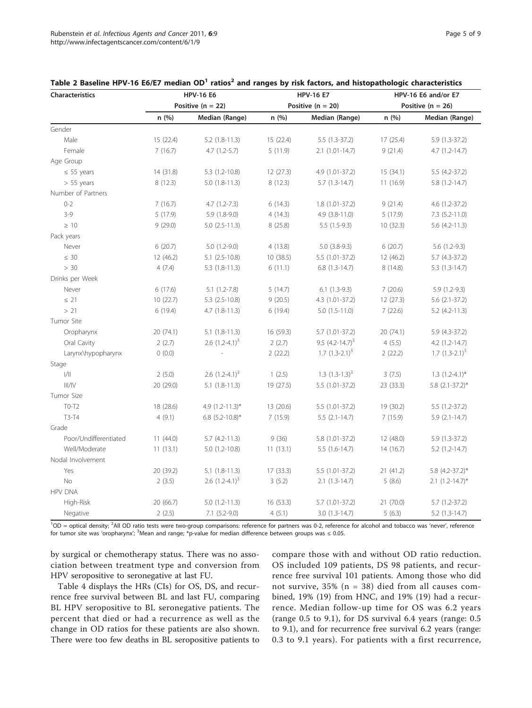| Characteristics       |           | <b>HPV-16 E6</b>      |           | <b>HPV-16 E7</b>     | HPV-16 E6 and/or E7<br>Positive ( $n = 26$ ) |                        |  |
|-----------------------|-----------|-----------------------|-----------|----------------------|----------------------------------------------|------------------------|--|
|                       |           | Positive ( $n = 22$ ) |           | Positive $(n = 20)$  |                                              |                        |  |
|                       | n(%)      | Median (Range)        | n(%)      | Median (Range)       | n(%)                                         | Median (Range)         |  |
| Gender                |           |                       |           |                      |                                              |                        |  |
| Male                  | 15 (22.4) | $5.2$ $(1.8-11.3)$    | 15(22.4)  | $5.5(1.3-37.2)$      | 17(25.4)                                     | $5.9(1.3-37.2)$        |  |
| Female                | 7(16.7)   | $4.7(1.2-5.7)$        | 5(11.9)   | $2.1(1.01-14.7)$     | 9(21.4)                                      | $4.7(1.2-14.7)$        |  |
| Age Group             |           |                       |           |                      |                                              |                        |  |
| $\leq$ 55 years       | 14 (31.8) | $5.3(1.2-10.8)$       | 12(27.3)  | 4.9 (1.01-37.2)      | 15(34.1)                                     | $5.5(4.2-37.2)$        |  |
| $> 55$ years          | 8(12.3)   | $5.0(1.8-11.3)$       | 8(12.3)   | $5.7(1.3-14.7)$      | 11(16.9)                                     | $5.8(1.2-14.7)$        |  |
| Number of Partners    |           |                       |           |                      |                                              |                        |  |
| $0 - 2$               | 7(16.7)   | $4.7(1.2 - 7.3)$      | 6(14.3)   | $1.8(1.01-37.2)$     | 9(21.4)                                      | $4.6(1.2-37.2)$        |  |
| $3 - 9$               | 5(17.9)   | $5.9(1.8-9.0)$        | 4(14.3)   | $4.9$ $(3.8-11.0)$   | 5(17.9)                                      | $7.3$ $(5.2 - 11.0)$   |  |
| $\geq 10$             | 9(29.0)   | $5.0$ $(2.5-11.3)$    | 8(25.8)   | $5.5(1.5-9.3)$       | 10(32.3)                                     | $5.6$ $(4.2 - 11.3)$   |  |
| Pack years            |           |                       |           |                      |                                              |                        |  |
| Never                 | 6(20.7)   | $5.0(1.2-9.0)$        | 4(13.8)   | $5.0$ $(3.8-9.3)$    | 6(20.7)                                      | $5.6(1.2-9.3)$         |  |
| $\leq 30$             | 12 (46.2) | $5.1$ $(2.5-10.8)$    | 10(38.5)  | $5.5(1.01-37.2)$     | 12 (46.2)                                    | $5.7$ (4.3-37.2)       |  |
| > 30                  | 4(7.4)    | $5.3(1.8-11.3)$       | 6(11.1)   | $6.8(1.3-14.7)$      | 8(14.8)                                      | $5.3(1.3-14.7)$        |  |
| Drinks per Week       |           |                       |           |                      |                                              |                        |  |
| Never                 | 6(17.6)   | $5.1(1.2-7.8)$        | 5(14.7)   | $6.1(1.3-9.3)$       | 7(20.6)                                      | $5.9(1.2-9.3)$         |  |
| $\leq$ 21             | 10(22.7)  | $5.3$ $(2.5 - 10.8)$  | 9(20.5)   | 4.3 (1.01-37.2)      | 12(27.3)                                     | $5.6$ $(2.1 - 37.2)$   |  |
| > 21                  | 6(19.4)   | $4.7(1.8-11.3)$       | 6(19.4)   | $5.0(1.5-11.0)$      | 7(22.6)                                      | $5.2$ (4.2-11.3)       |  |
| Tumor Site            |           |                       |           |                      |                                              |                        |  |
| Oropharynx            | 20 (74.1) | $5.1(1.8-11.3)$       | 16 (59.3) | $5.7(1.01-37.2)$     | 20 (74.1)                                    | $5.9$ (4.3-37.2)       |  |
| Oral Cavity           | 2(2.7)    | 2.6 $(1.2 - 4.1)^3$   | 2(2.7)    | 9.5 $(4.2 - 14.7)^3$ | 4(5.5)                                       | $4.2(1.2-14.7)$        |  |
| Larynx\hypopharynx    | 0(0.0)    |                       | 2(22.2)   | $1.7$ $(1.3-2.1)^3$  | 2(22.2)                                      | $1.7 (1.3 - 2.1)^3$    |  |
| Stage                 |           |                       |           |                      |                                              |                        |  |
| /                     | 2(5.0)    | 2.6 $(1.2-4.1)^3$     | 1(2.5)    | 1.3 $(1.3-1.3)^3$    | 3(7.5)                                       | $1.3$ $(1.2-4.1)$ *    |  |
| III/IV                | 20 (29.0) | $5.1(1.8-11.3)$       | 19 (27.5) | 5.5 (1.01-37.2)      | 23 (33.3)                                    | $5.8$ (2.1-37.2)*      |  |
| Tumor Size            |           |                       |           |                      |                                              |                        |  |
| $TO-T2$               | 18 (28.6) | 4.9 (1.2-11.3)*       | 13 (20.6) | 5.5 (1.01-37.2)      | 19 (30.2)                                    | $5.5(1.2-37.2)$        |  |
| $T3-T4$               | 4(9.1)    | 6.8 $(5.2 - 10.8)$ *  | 7(15.9)   | $5.5(2.1-14.7)$      | 7(15.9)                                      | $5.9(2.1-14.7)$        |  |
| Grade                 |           |                       |           |                      |                                              |                        |  |
| Poor/Undifferentiated | 11(44.0)  | $5.7$ (4.2-11.3)      | 9(36)     | 5.8 (1.01-37.2)      | 12 (48.0)                                    | $5.9(1.3-37.2)$        |  |
| Well/Moderate         | 11(13.1)  | $5.0(1.2-10.8)$       | 11(13.1)  | $5.5(1.6-14.7)$      | 14(16.7)                                     | $5.2$ $(1.2 - 14.7)$   |  |
| Nodal Involvement     |           |                       |           |                      |                                              |                        |  |
| Yes                   | 20 (39.2) | $5.1(1.8-11.3)$       | 17(33.3)  | $5.5(1.01-37.2)$     | 21 (41.2)                                    | 5.8 (4.2-37.2)*        |  |
| No                    | 2(3.5)    | 2.6 $(1.2-4.1)^3$     | 3(5.2)    | $2.1(1.3-14.7)$      | 5(8.6)                                       | $2.1$ $(1.2 - 14.7)^*$ |  |
| <b>HPV DNA</b>        |           |                       |           |                      |                                              |                        |  |
| High-Risk             | 20 (66.7) | $5.0(1.2-11.3)$       | 16 (53.3) | 5.7 (1.01-37.2)      | 21 (70.0)                                    | $5.7(1.2-37.2)$        |  |
| Negative              | 2(2.5)    | $7.1$ $(5.2 - 9.0)$   | 4(5.1)    | $3.0(1.3-14.7)$      | 5(6.3)                                       | $5.2$ $(1.3-14.7)$     |  |

<span id="page-4-0"></span>

| Table 2 Baseline HPV-16 E6/E7 median OD <sup>1</sup> ratios <sup>2</sup> and ranges by risk factors, and histopathologic characteristics |  |  |  |  |
|------------------------------------------------------------------------------------------------------------------------------------------|--|--|--|--|
|------------------------------------------------------------------------------------------------------------------------------------------|--|--|--|--|

<sup>1</sup>OD = optical density; <sup>2</sup>All OD ratio tests were two-group comparisons: reference for partners was 0-2, reference for alcohol and tobacco was 'never', reference for tumor site was 'oropharynx'; <sup>3</sup>Mean and range; \*p-value for median difference between groups was ≤ 0.05.

by surgical or chemotherapy status. There was no association between treatment type and conversion from HPV seropositive to seronegative at last FU.

Table [4](#page-5-0) displays the HRs (CIs) for OS, DS, and recurrence free survival between BL and last FU, comparing BL HPV seropositive to BL seronegative patients. The percent that died or had a recurrence as well as the change in OD ratios for these patients are also shown. There were too few deaths in BL seropositive patients to compare those with and without OD ratio reduction. OS included 109 patients, DS 98 patients, and recurrence free survival 101 patients. Among those who did not survive, 35% (n = 38) died from all causes combined, 19% (19) from HNC, and 19% (19) had a recurrence. Median follow-up time for OS was 6.2 years (range 0.5 to 9.1), for DS survival 6.4 years (range: 0.5 to 9.1), and for recurrence free survival 6.2 years (range: 0.3 to 9.1 years). For patients with a first recurrence,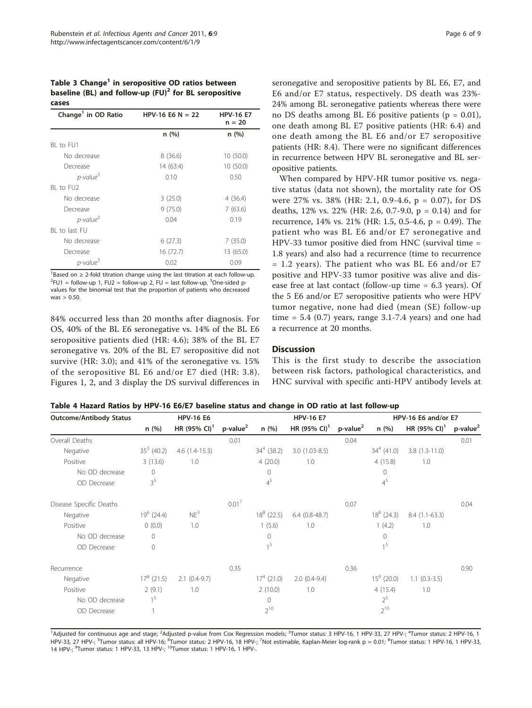<span id="page-5-0"></span>Table 3 Change<sup>1</sup> in seropositive OD ratios between baseline (BL) and follow-up  $(FU)^2$  for BL seropositive cases

| Change <sup>1</sup> in OD Ratio | HPV-16 E6 N = 22 | <b>HPV-16 E7</b><br>$n = 20$ |
|---------------------------------|------------------|------------------------------|
|                                 | n(%)             | n (%)                        |
| BL to FU1                       |                  |                              |
| No decrease                     | 8(36.6)          | 10(50.0)                     |
| Decrease                        | 14 (63.4)        | 10 (50.0)                    |
| $p$ -value <sup>3</sup>         | 0.10             | 0.50                         |
| BI to FU2                       |                  |                              |
| No decrease                     | 3(25.0)          | 4(36.4)                      |
| Decrease                        | 9(75.0)          | 7(63.6)                      |
| $p$ -value <sup>3</sup>         | 0.04             | 0.19                         |
| BI to last FU                   |                  |                              |
| No decrease                     | 6(27.3)          | 7(35.0)                      |
| Decrease                        | 16 (72.7)        | 13 (65.0)                    |
| $p$ -value <sup>3</sup>         | 0.02             | 0.09                         |

<sup>1</sup>Based on ≥ 2-fold titration change using the last titration at each follow-up.<br><sup>2E111</sup> – follow-up 1, E12 – follow-up 2, E11 – last follow-up <sup>3</sup>Ope-sided p-FU1 = follow-up 1, FU2 = follow-up 2, FU = last follow-up,  $3$ One-sided pvalues for the binomial test that the proportion of patients who decreased was  $> 0.50$ .

84% occurred less than 20 months after diagnosis. For OS, 40% of the BL E6 seronegative vs. 14% of the BL E6 seropositive patients died (HR: 4.6); 38% of the BL E7 seronegative vs. 20% of the BL E7 seropositive did not survive (HR: 3.0); and 41% of the seronegative vs. 15% of the seropositive BL E6 and/or E7 died (HR: 3.8). Figures [1, 2,](#page-6-0) and [3](#page-6-0) display the DS survival differences in

seronegative and seropositive patients by BL E6, E7, and E6 and/or E7 status, respectively. DS death was 23%- 24% among BL seronegative patients whereas there were no DS deaths among BL E6 positive patients ( $p = 0.01$ ), one death among BL E7 positive patients (HR: 6.4) and one death among the BL E6 and/or E7 seropositive patients (HR: 8.4). There were no significant differences in recurrence between HPV BL seronegative and BL seropositive patients.

When compared by HPV-HR tumor positive vs. negative status (data not shown), the mortality rate for OS were 27% vs. 38% (HR: 2.1, 0.9-4.6, p = 0.07), for DS deaths, 12% vs. 22% (HR: 2.6, 0.7-9.0, p = 0.14) and for recurrence, 14% vs. 21% (HR: 1.5, 0.5-4.6, p = 0.49). The patient who was BL E6 and/or E7 seronegative and HPV-33 tumor positive died from HNC (survival time = 1.8 years) and also had a recurrence (time to recurrence  $= 1.2$  years). The patient who was BL E6 and/or E7 positive and HPV-33 tumor positive was alive and disease free at last contact (follow-up time = 6.3 years). Of the 5 E6 and/or E7 seropositive patients who were HPV tumor negative, none had died (mean (SE) follow-up time =  $5.4$  (0.7) years, range  $3.1$ -7.4 years) and one had a recurrence at 20 months.

#### **Discussion**

This is the first study to describe the association between risk factors, pathological characteristics, and HNC survival with specific anti-HPV antibody levels at

Table 4 Hazard Ratios by HPV-16 E6/E7 baseline status and change in OD ratio at last follow-up

| <b>Outcome/Antibody Status</b> | <b>HPV-16 E6</b> |                          |                   | <b>HPV-16 E7</b> |                          |                 | HPV-16 E6 and/or E7 |                          |                         |
|--------------------------------|------------------|--------------------------|-------------------|------------------|--------------------------|-----------------|---------------------|--------------------------|-------------------------|
|                                | n(%)             | HR (95% CI) <sup>1</sup> | $p$ -value $^2$   | n(%)             | HR (95% CI) <sup>1</sup> | $p$ -value $^2$ | n(%)                | HR (95% CI) <sup>1</sup> | $p$ -value <sup>2</sup> |
| Overall Deaths                 |                  |                          | 0.01              |                  |                          | 0.04            |                     |                          | 0.01                    |
| Negative                       | $35^3$ (40.2)    | $4.6(1.4-15.3)$          |                   | $34^4$ (38.2)    | $3.0(1.03-8.5)$          |                 | $34^{4}$ (41.0)     | $3.8(1.3-11.0)$          |                         |
| Positive                       | 3(13.6)          | 1.0                      |                   | 4(20.0)          | 1.0                      |                 | 4(15.8)             | 1.0                      |                         |
| No OD decrease                 | 0                |                          |                   | 0                |                          |                 | 0                   |                          |                         |
| OD Decrease                    | 3 <sup>5</sup>   |                          |                   | $4^5$            |                          |                 | $4^5$               |                          |                         |
| Disease Specific Deaths        |                  |                          | 0.01 <sup>7</sup> |                  |                          | 0.07            |                     |                          | 0.04                    |
| Negative                       | $19^6$ (24.4)    | NE <sup>3</sup>          |                   | $18^8$ (22.5)    | $6.4(0.8-48.7)$          |                 | $18^8$ (24.3)       | $8.4(1.1-63.3)$          |                         |
| Positive                       | 0(0.0)           | 1.0                      |                   | 1(5.6)           | 1.0                      |                 | 1(4.2)              | 1.0                      |                         |
| No OD decrease                 | $\mathbf 0$      |                          |                   | $\circ$          |                          |                 | $\mathbf 0$         |                          |                         |
| OD Decrease                    | $\mathbf 0$      |                          |                   | 1 <sup>5</sup>   |                          |                 | 1 <sup>5</sup>      |                          |                         |
| Recurrence                     |                  |                          | 0.35              |                  |                          | 0.36            |                     |                          | 0.90                    |
| Negative                       | $17^8$ (21.5)    | $2.1(0.4-9.7)$           |                   | $174$ (21.0)     | $2.0(0.4-9.4)$           |                 | $15^9$ (20.0)       | $1.1(0.3-3.5)$           |                         |
| Positive                       | 2(9.1)           | 1.0                      |                   | 2(10.0)          | 1.0                      |                 | 4(15.4)             | 1.0                      |                         |
| No OD decrease                 | 1 <sup>5</sup>   |                          |                   | $\mathbf{0}$     |                          |                 | $2^5$               |                          |                         |
| OD Decrease                    |                  |                          |                   | $2^{10}$         |                          |                 | $2^{10}$            |                          |                         |

<sup>1</sup>Adjusted for continuous age and stage; <sup>2</sup>Adjusted p-value from Cox Regression models; <sup>3</sup>Tumor status: 3 HPV-16, 1 HPV-33, 27 HPV-; <sup>4</sup>Tumor status: 2 HPV-16, 1 HPV-33, 27 HPV-; <sup>s</sup>Tumor status: all HPV-16; <sup>6</sup>Tumor status: 2 HPV-16, 18 HPV-; <sup>7</sup>Not estimable, Kaplan-Meier log-rank p = 0.01; <sup>8</sup>Tumor status: 1 HPV-16, 1 HPV-33,<br>14 HPV-; <sup>9</sup>Tumor status: 1 HPV-33, 13 HPV-; <sup>10</sup>Tumo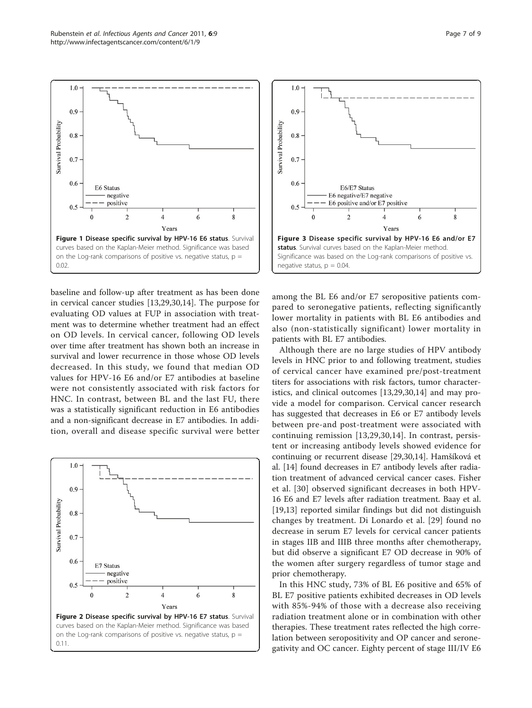baseline and follow-up after treatment as has been done in cervical cancer studies [[13,](#page-7-0)[29,30](#page-8-0)[,14](#page-7-0)]. The purpose for evaluating OD values at FUP in association with treatment was to determine whether treatment had an effect on OD levels. In cervical cancer, following OD levels over time after treatment has shown both an increase in survival and lower recurrence in those whose OD levels decreased. In this study, we found that median OD values for HPV-16 E6 and/or E7 antibodies at baseline were not consistently associated with risk factors for HNC. In contrast, between BL and the last FU, there was a statistically significant reduction in E6 antibodies and a non-significant decrease in E7 antibodies. In addition, overall and disease specific survival were better

Figure 1 Disease specific survival by HPV-16 E6 status. Survival curves based on the Kaplan-Meier method. Significance was based on the Log-rank comparisons of positive vs. negative status,  $p =$ 

 $\overline{4}$ 

Years

6

8

0.02.

<span id="page-6-0"></span> $1.0$ 

0.9

 $0.8$ 

 $0.7$ 

0.6

 $0.5$ 

 $\theta$ 

E6 Status negative

positive

 $\overline{c}$ 

Survival Probability





among the BL E6 and/or E7 seropositive patients compared to seronegative patients, reflecting significantly lower mortality in patients with BL E6 antibodies and also (non-statistically significant) lower mortality in patients with BL E7 antibodies.

Although there are no large studies of HPV antibody levels in HNC prior to and following treatment, studies of cervical cancer have examined pre/post-treatment titers for associations with risk factors, tumor characteristics, and clinical outcomes [[13,](#page-7-0)[29,30](#page-8-0)[,14](#page-7-0)] and may provide a model for comparison. Cervical cancer research has suggested that decreases in E6 or E7 antibody levels between pre-and post-treatment were associated with continuing remission [\[13,](#page-7-0)[29,30](#page-8-0),[14\]](#page-7-0). In contrast, persistent or increasing antibody levels showed evidence for continuing or recurrent disease [\[29,30](#page-8-0)[,14\]](#page-7-0). Hamšíková et al. [\[14\]](#page-7-0) found decreases in E7 antibody levels after radiation treatment of advanced cervical cancer cases. Fisher et al. [\[30](#page-8-0)] observed significant decreases in both HPV-16 E6 and E7 levels after radiation treatment. Baay et al. [[19,](#page-8-0)[13\]](#page-7-0) reported similar findings but did not distinguish changes by treatment. Di Lonardo et al. [[29\]](#page-8-0) found no decrease in serum E7 levels for cervical cancer patients in stages IIB and IIIB three months after chemotherapy, but did observe a significant E7 OD decrease in 90% of the women after surgery regardless of tumor stage and prior chemotherapy.

In this HNC study, 73% of BL E6 positive and 65% of BL E7 positive patients exhibited decreases in OD levels with 85%-94% of those with a decrease also receiving radiation treatment alone or in combination with other therapies. These treatment rates reflected the high correlation between seropositivity and OP cancer and seronegativity and OC cancer. Eighty percent of stage III/IV E6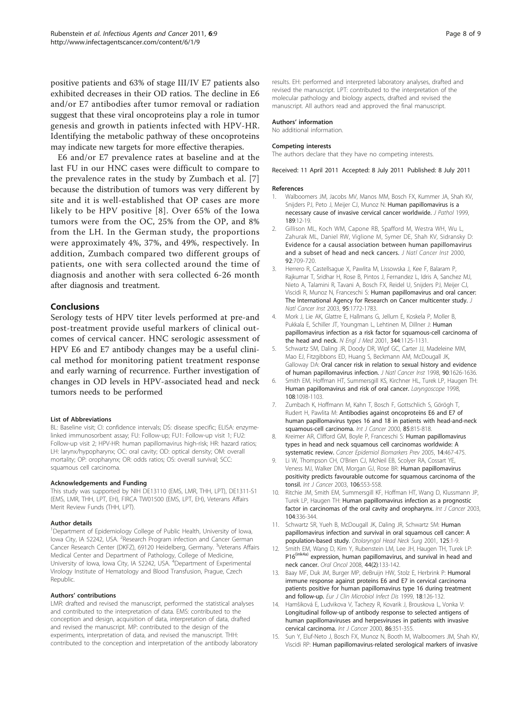<span id="page-7-0"></span>positive patients and 63% of stage III/IV E7 patients also exhibited decreases in their OD ratios. The decline in E6 and/or E7 antibodies after tumor removal or radiation suggest that these viral oncoproteins play a role in tumor genesis and growth in patients infected with HPV-HR. Identifying the metabolic pathway of these oncoproteins may indicate new targets for more effective therapies.

E6 and/or E7 prevalence rates at baseline and at the last FU in our HNC cases were difficult to compare to the prevalence rates in the study by Zumbach et al. [7] because the distribution of tumors was very different by site and it is well-established that OP cases are more likely to be HPV positive [8]. Over 65% of the Iowa tumors were from the OC, 25% from the OP, and 8% from the LH. In the German study, the proportions were approximately 4%, 37%, and 49%, respectively. In addition, Zumbach compared two different groups of patients, one with sera collected around the time of diagnosis and another with sera collected 6-26 month after diagnosis and treatment.

#### Conclusions

Serology tests of HPV titer levels performed at pre-and post-treatment provide useful markers of clinical outcomes of cervical cancer. HNC serologic assessment of HPV E6 and E7 antibody changes may be a useful clinical method for monitoring patient treatment response and early warning of recurrence. Further investigation of changes in OD levels in HPV-associated head and neck tumors needs to be performed

#### List of Abbreviations

BL: Baseline visit; CI: confidence intervals; DS: disease specific; ELISA: enzymelinked immunosorbent assay; FU: Follow-up; FU1: Follow-up visit 1; FU2: Follow-up visit 2; HPV-HR: human papillomavirus high-risk; HR: hazard ratios; LH: larynx/hypopharynx; OC: oral cavity; OD: optical density; OM: overall mortality; OP: oropharynx; OR: odds ratios; OS: overall survival; SCC: squamous cell carcinoma.

#### Acknowledgements and Funding

This study was supported by NIH DE13110 (EMS, LMR, THH, LPT), DE1311-S1 (EMS, LMR, THH, LPT, EH), FIRCA TW01500 (EMS, LPT, EH), Veterans Affairs Merit Review Funds (THH, LPT).

#### Author details

<sup>1</sup>Department of Epidemiology College of Public Health, University of Iowa, lowa City, IA 52242, USA. <sup>2</sup>Research Program infection and Cancer German Cancer Research Center (DKFZ), 69120 Heidelberg, Germany. <sup>3</sup>Veterans Affairs Medical Center and Department of Pathology, College of Medicine, University of Iowa, Iowa City, IA 52242, USA. <sup>4</sup>Department of Experimental Virology Institute of Hematology and Blood Transfusion, Prague, Czech Republic.

#### Authors' contributions

LMR: drafted and revised the manuscript, performed the statistical analyses and contributed to the interpretation of data. EMS: contributed to the conception and design, acquisition of data, interpretation of data, drafted and revised the manuscript. MP: contributed to the design of the experiments, interpretation of data, and revised the manuscript. THH: contributed to the conception and interpretation of the antibody laboratory

results. EH: performed and interpreted laboratory analyses, drafted and revised the manuscript. LPT: contributed to the interpretation of the molecular pathology and biology aspects, drafted and revised the manuscript. All authors read and approved the final manuscript.

#### Authors' information

No additional information.

#### Competing interests

The authors declare that they have no competing interests.

Received: 11 April 2011 Accepted: 8 July 2011 Published: 8 July 2011

#### References

- 1. Walboomers JM, Jacobs MV, Manos MM, Bosch FX, Kummer JA, Shah KV, Snijders PJ, Peto J, Meijer CJ, Munoz N: [Human papillomavirus is a](http://www.ncbi.nlm.nih.gov/pubmed/10451482?dopt=Abstract) [necessary cause of invasive cervical cancer worldwide.](http://www.ncbi.nlm.nih.gov/pubmed/10451482?dopt=Abstract) J Pathol 1999, 189:12-19.
- 2. Gillison ML, Koch WM, Capone RB, Spafford M, Westra WH, Wu L, Zahurak ML, Daniel RW, Viglione M, Symer DE, Shah KV, Sidransky D: [Evidence for a causal association between human papillomavirus](http://www.ncbi.nlm.nih.gov/pubmed/10793107?dopt=Abstract) [and a subset of head and neck cancers.](http://www.ncbi.nlm.nih.gov/pubmed/10793107?dopt=Abstract) J Natl Cancer Inst 2000, 92:709-720.
- 3. Herrero R, Castellsague X, Pawlita M, Lissowska J, Kee F, Balaram P, Rajkumar T, Sridhar H, Rose B, Pintos J, Fernandez L, Idris A, Sanchez MJ, Nieto A, Talamini R, Tavani A, Bosch FX, Reidel U, Snijders PJ, Meijer CJ, Viscidi R, Munoz N, Franceschi S: [Human papillomavirus and oral cancer:](http://www.ncbi.nlm.nih.gov/pubmed/14652239?dopt=Abstract) [The International Agency for Research on Cancer multicenter study.](http://www.ncbi.nlm.nih.gov/pubmed/14652239?dopt=Abstract) . Natl Cancer Inst 2003, 95:1772-1783.
- 4. Mork J, Lie AK, Glattre E, Hallmans G, Jellum E, Koskela P, Moller B, Pukkala E, Schiller JT, Youngman L, Lehtinen M, Dillner J: [Human](http://www.ncbi.nlm.nih.gov/pubmed/11297703?dopt=Abstract) [papillomavirus infection as a risk factor for squamous-cell carcinoma of](http://www.ncbi.nlm.nih.gov/pubmed/11297703?dopt=Abstract) [the head and neck.](http://www.ncbi.nlm.nih.gov/pubmed/11297703?dopt=Abstract) N Engl J Med 2001, 344:1125-1131.
- 5. Schwartz SM, Daling JR, Doody DR, Wipf GC, Carter JJ, Madeleine MM, Mao EJ, Fitzgibbons ED, Huang S, Beckmann AM, McDougall JK, Galloway DA: [Oral cancer risk in relation to sexual history and evidence](http://www.ncbi.nlm.nih.gov/pubmed/9811312?dopt=Abstract) [of human papillomavirus infection.](http://www.ncbi.nlm.nih.gov/pubmed/9811312?dopt=Abstract) J Natl Cancer Inst 1998, 90:1626-1636.
- 6. Smith EM, Hoffman HT, Summersgill KS, Kirchner HL, Turek LP, Haugen TH: [Human papillomavirus and risk of oral cancer.](http://www.ncbi.nlm.nih.gov/pubmed/9665264?dopt=Abstract) Laryngoscope 1998, 108:1098-1103.
- 7. Zumbach K, Hoffmann M, Kahn T, Bosch F, Gottschlich S, Görögh T, Rudert H, Pawlita M: [Antibodies against oncoproteins E6 and E7 of](http://www.ncbi.nlm.nih.gov/pubmed/10709102?dopt=Abstract) [human papillomavirus types 16 and 18 in patients with head-and-neck](http://www.ncbi.nlm.nih.gov/pubmed/10709102?dopt=Abstract) [squamous-cell carcinoma.](http://www.ncbi.nlm.nih.gov/pubmed/10709102?dopt=Abstract) Int J Cancer 2000, 85:815-818.
- 8. Kreimer AR, Clifford GM, Boyle P, Franceschi S: [Human papillomavirus](http://www.ncbi.nlm.nih.gov/pubmed/15734974?dopt=Abstract) [types in head and neck squamous cell carcinomas worldwide: A](http://www.ncbi.nlm.nih.gov/pubmed/15734974?dopt=Abstract) [systematic review.](http://www.ncbi.nlm.nih.gov/pubmed/15734974?dopt=Abstract) Cancer Epidemiol Biomarkers Prev 2005, 14:467-475.
- Li W, Thompson CH, O'Brien CJ, McNeil EB, Scolyer RA, Cossart YE, Veness MJ, Walker DM, Morgan GJ, Rose BR: [Human papillomavirus](http://www.ncbi.nlm.nih.gov/pubmed/12845651?dopt=Abstract) [positivity predicts favourable outcome for squamous carcinoma of the](http://www.ncbi.nlm.nih.gov/pubmed/12845651?dopt=Abstract) [tonsil.](http://www.ncbi.nlm.nih.gov/pubmed/12845651?dopt=Abstract) Int J Cancer 2003, 106:553-558.
- 10. Ritchie JM, Smith EM, Summersgill KF, Hoffman HT, Wang D, Klussmann JP, Turek LP, Haugen TH: [Human papillomavirus infection as a prognostic](http://www.ncbi.nlm.nih.gov/pubmed/12569557?dopt=Abstract) [factor in carcinomas of the oral cavity and oropharynx.](http://www.ncbi.nlm.nih.gov/pubmed/12569557?dopt=Abstract) Int J Cancer 2003, 104:336-344.
- 11. Schwartz SR, Yueh B, McDougall JK, Daling JR, Schwartz SM: [Human](http://www.ncbi.nlm.nih.gov/pubmed/11458206?dopt=Abstract) [papillomavirus infection and survival in oral squamous cell cancer: A](http://www.ncbi.nlm.nih.gov/pubmed/11458206?dopt=Abstract) [population-based study.](http://www.ncbi.nlm.nih.gov/pubmed/11458206?dopt=Abstract) Otolaryngol Head Neck Surg 2001, 125:1-9.
- 12. Smith EM, Wang D, Kim Y, Rubenstein LM, Lee JH, Haugen TH, Turek LP: P16<sup>(ink4a)</sup> [expression, human papillomavirus, and survival in head and](http://www.ncbi.nlm.nih.gov/pubmed/17360226?dopt=Abstract) [neck cancer.](http://www.ncbi.nlm.nih.gov/pubmed/17360226?dopt=Abstract) Oral Oncol 2008, 44(2):133-142.
- 13. Baay MF, Duk JM, Burger MP, deBruijn HW, Stolz E, Herbrink P: [Humoral](http://www.ncbi.nlm.nih.gov/pubmed/10219577?dopt=Abstract) [immune response against proteins E6 and E7 in cervical carcinoma](http://www.ncbi.nlm.nih.gov/pubmed/10219577?dopt=Abstract) [patients positive for human papillomavirus type 16 during treatment](http://www.ncbi.nlm.nih.gov/pubmed/10219577?dopt=Abstract) [and follow-up.](http://www.ncbi.nlm.nih.gov/pubmed/10219577?dopt=Abstract) Eur J Clin Microbiol Infect Dis 1999, 18:126-132.
- 14. Hamšiková E, Ludvikova V, Tachezy R, Kovarik J, Brouskova L, Vonka V: [Longitudinal follow-up of antibody response to selected antigens of](http://www.ncbi.nlm.nih.gov/pubmed/10760822?dopt=Abstract) [human papillomaviruses and herpesviruses in patients with invasive](http://www.ncbi.nlm.nih.gov/pubmed/10760822?dopt=Abstract) [cervical carcinoma.](http://www.ncbi.nlm.nih.gov/pubmed/10760822?dopt=Abstract) Int J Cancer 2000, 86:351-355.
- 15. Sun Y, Eluf-Neto J, Bosch FX, Munoz N, Booth M, Walboomers JM, Shah KV, Viscidi RP: [Human papillomavirus-related serological markers of invasive](http://www.ncbi.nlm.nih.gov/pubmed/8061584?dopt=Abstract)